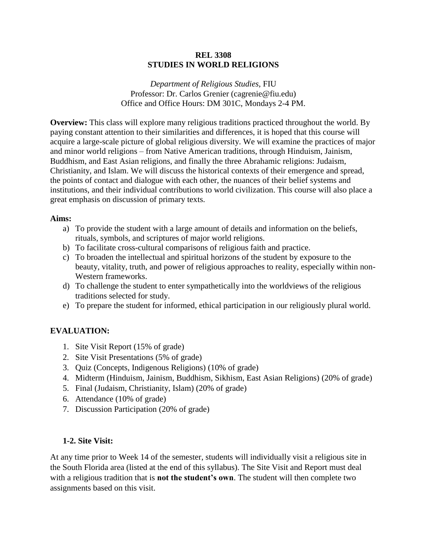## **REL 3308 STUDIES IN WORLD RELIGIONS**

*Department of Religious Studies,* FIU Professor: Dr. Carlos Grenier (cagrenie@fiu.edu) Office and Office Hours: DM 301C, Mondays 2-4 PM.

**Overview:** This class will explore many religious traditions practiced throughout the world. By paying constant attention to their similarities and differences, it is hoped that this course will acquire a large-scale picture of global religious diversity. We will examine the practices of major and minor world religions – from Native American traditions, through Hinduism, Jainism, Buddhism, and East Asian religions, and finally the three Abrahamic religions: Judaism, Christianity, and Islam. We will discuss the historical contexts of their emergence and spread, the points of contact and dialogue with each other, the nuances of their belief systems and institutions, and their individual contributions to world civilization. This course will also place a great emphasis on discussion of primary texts.

#### **Aims:**

- a) To provide the student with a large amount of details and information on the beliefs, rituals, symbols, and scriptures of major world religions.
- b) To facilitate cross-cultural comparisons of religious faith and practice.
- c) To broaden the intellectual and spiritual horizons of the student by exposure to the beauty, vitality, truth, and power of religious approaches to reality, especially within non-Western frameworks.
- d) To challenge the student to enter sympathetically into the worldviews of the religious traditions selected for study.
- e) To prepare the student for informed, ethical participation in our religiously plural world.

## **EVALUATION:**

- 1. Site Visit Report (15% of grade)
- 2. Site Visit Presentations (5% of grade)
- 3. Quiz (Concepts, Indigenous Religions) (10% of grade)
- 4. Midterm (Hinduism, Jainism, Buddhism, Sikhism, East Asian Religions) (20% of grade)
- 5. Final (Judaism, Christianity, Islam) (20% of grade)
- 6. Attendance (10% of grade)
- 7. Discussion Participation (20% of grade)

#### **1-2. Site Visit:**

At any time prior to Week 14 of the semester, students will individually visit a religious site in the South Florida area (listed at the end of this syllabus). The Site Visit and Report must deal with a religious tradition that is **not the student's own**. The student will then complete two assignments based on this visit.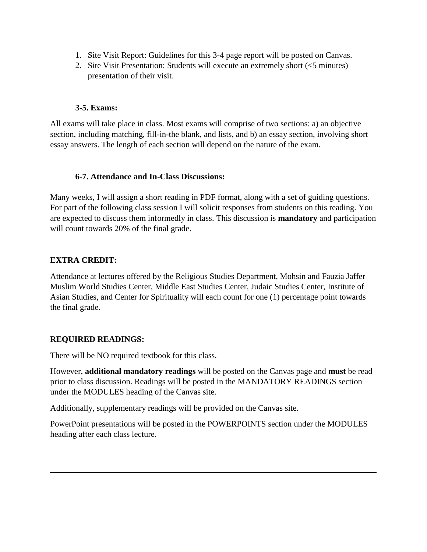- 1. Site Visit Report: Guidelines for this 3-4 page report will be posted on Canvas.
- 2. Site Visit Presentation: Students will execute an extremely short (<5 minutes) presentation of their visit.

## **3-5. Exams:**

All exams will take place in class. Most exams will comprise of two sections: a) an objective section, including matching, fill-in-the blank, and lists, and b) an essay section, involving short essay answers. The length of each section will depend on the nature of the exam.

## **6-7. Attendance and In-Class Discussions:**

Many weeks, I will assign a short reading in PDF format, along with a set of guiding questions. For part of the following class session I will solicit responses from students on this reading. You are expected to discuss them informedly in class. This discussion is **mandatory** and participation will count towards 20% of the final grade.

## **EXTRA CREDIT:**

Attendance at lectures offered by the Religious Studies Department, Mohsin and Fauzia Jaffer Muslim World Studies Center, Middle East Studies Center, Judaic Studies Center, Institute of Asian Studies, and Center for Spirituality will each count for one (1) percentage point towards the final grade.

# **REQUIRED READINGS:**

There will be NO required textbook for this class.

However, **additional mandatory readings** will be posted on the Canvas page and **must** be read prior to class discussion. Readings will be posted in the MANDATORY READINGS section under the MODULES heading of the Canvas site.

Additionally, supplementary readings will be provided on the Canvas site.

PowerPoint presentations will be posted in the POWERPOINTS section under the MODULES heading after each class lecture.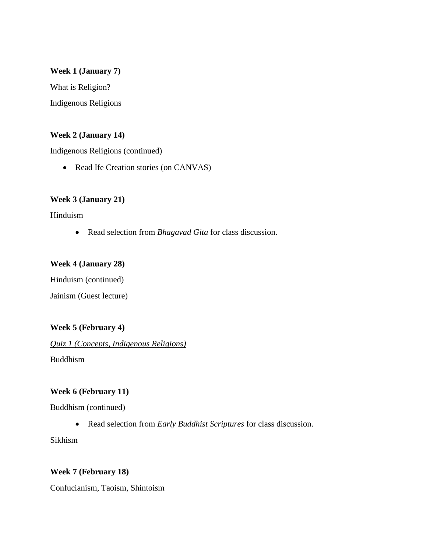## **Week 1 (January 7)**

What is Religion? Indigenous Religions

## **Week 2 (January 14)**

Indigenous Religions (continued)

• Read Ife Creation stories (on CANVAS)

## **Week 3 (January 21)**

Hinduism

• Read selection from *Bhagavad Gita* for class discussion.

## **Week 4 (January 28)**

Hinduism (continued)

# Jainism (Guest lecture)

# **Week 5 (February 4)**

*Quiz 1 (Concepts, Indigenous Religions)* Buddhism

## **Week 6 (February 11)**

Buddhism (continued)

• Read selection from *Early Buddhist Scriptures* for class discussion.

Sikhism

#### **Week 7 (February 18)**

Confucianism, Taoism, Shintoism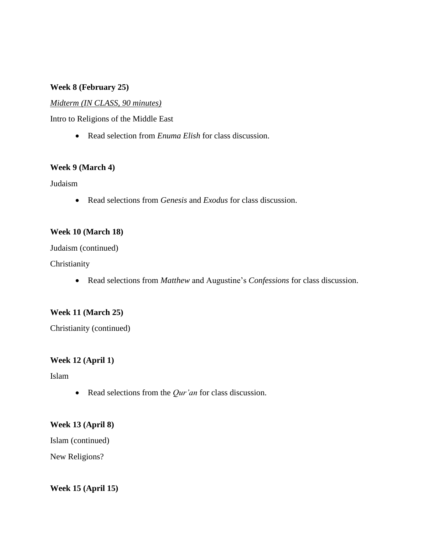## **Week 8 (February 25)**

#### *Midterm (IN CLASS, 90 minutes)*

Intro to Religions of the Middle East

• Read selection from *Enuma Elish* for class discussion.

### **Week 9 (March 4)**

Judaism

• Read selections from *Genesis* and *Exodus* for class discussion.

#### **Week 10 (March 18)**

Judaism (continued)

Christianity

• Read selections from *Matthew* and Augustine's *Confessions* for class discussion.

#### **Week 11 (March 25)**

Christianity (continued)

#### **Week 12 (April 1)**

Islam

• Read selections from the *Qur'an* for class discussion.

#### **Week 13 (April 8)**

Islam (continued)

New Religions?

#### **Week 15 (April 15)**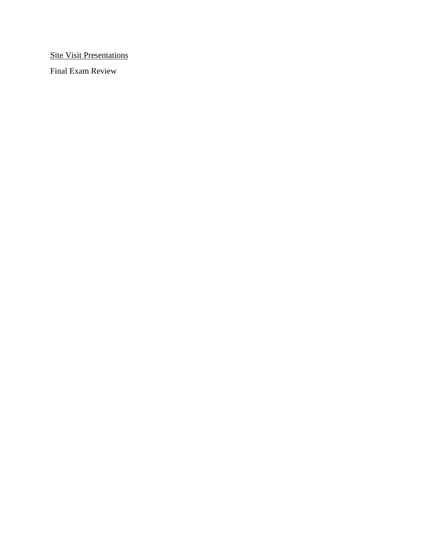**Site Visit Presentations** 

Final Exam Review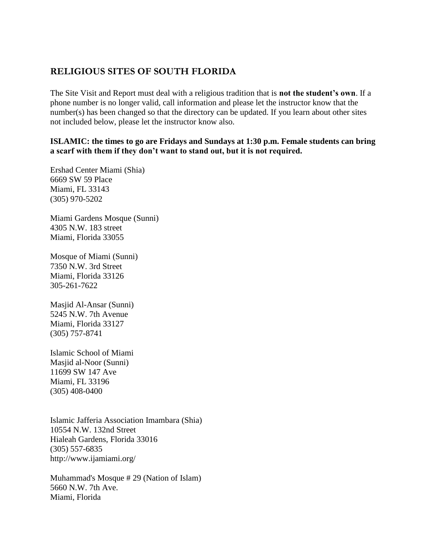# **RELIGIOUS SITES OF SOUTH FLORIDA**

The Site Visit and Report must deal with a religious tradition that is **not the student's own**. If a phone number is no longer valid, call information and please let the instructor know that the number(s) has been changed so that the directory can be updated. If you learn about other sites not included below, please let the instructor know also.

## **ISLAMIC: the times to go are Fridays and Sundays at 1:30 p.m. Female students can bring a scarf with them if they don't want to stand out, but it is not required.**

Ershad Center Miami (Shia) 6669 SW 59 Place Miami, FL 33143 (305) 970-5202

Miami Gardens Mosque (Sunni) 4305 N.W. 183 street Miami, Florida 33055

Mosque of Miami (Sunni) 7350 N.W. 3rd Street Miami, Florida 33126 305-261-7622

Masjid Al-Ansar (Sunni) 5245 N.W. 7th Avenue Miami, Florida 33127 (305) 757-8741

Islamic School of Miami Masjid al-Noor (Sunni) 11699 SW 147 Ave Miami, FL 33196 (305) 408-0400

Islamic Jafferia Association Imambara (Shia) 10554 N.W. 132nd Street Hialeah Gardens, Florida 33016 (305) 557-6835 http://www.ijamiami.org/

Muhammad's Mosque # 29 (Nation of Islam) 5660 N.W. 7th Ave. Miami, Florida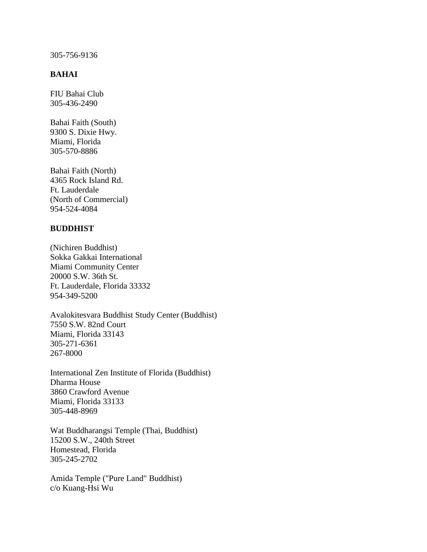#### 305-756-9136

## **BAHAI**

FIU Bahai Club 305-436-2490

Bahai Faith (South) 9300 S. Dixie Hwy. Miami, Florida 305-570-8886

Bahai Faith (North) 4365 Rock Island Rd. Ft. Lauderdale (North of Commercial) 954-524-4084

#### **BUDDHIST**

(Nichiren Buddhist) Sokka Gakkai International Miami Community Center 20000 S.W. 36th St. Ft. Lauderdale, Florida 33332 954-349-5200

Avalokitesvara Buddhist Study Center (Buddhist) 7550 S.W. 82nd Court Miami, Florida 33143 305-271-6361 267-8000

International Zen Institute of Florida (Buddhist) Dharma House 3860 Crawford Avenue Miami, Florida 33133 305-448-8969

Wat Buddharangsi Temple (Thai, Buddhist) 15200 S.W., 240th Street Homestead, Florida 305-245-2702

Amida Temple ("Pure Land" Buddhist) c/o Kuang-Hsi Wu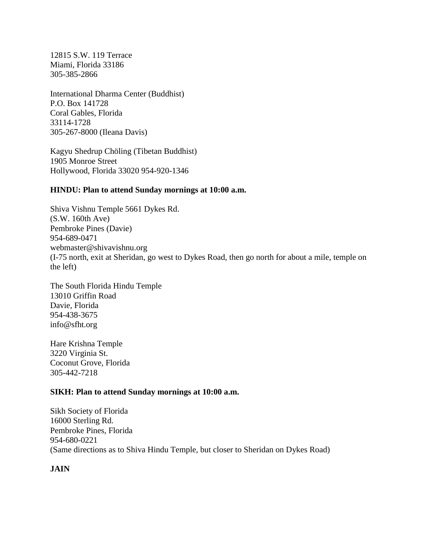12815 S.W. 119 Terrace Miami, Florida 33186 305-385-2866

International Dharma Center (Buddhist) P.O. Box 141728 Coral Gables, Florida 33114-1728 305-267-8000 (Ileana Davis)

Kagyu Shedrup Chöling (Tibetan Buddhist) 1905 Monroe Street Hollywood, Florida 33020 954-920-1346

#### **HINDU: Plan to attend Sunday mornings at 10:00 a.m.**

Shiva Vishnu Temple 5661 Dykes Rd. (S.W. 160th Ave) Pembroke Pines (Davie) 954-689-0471 webmaster@shivavishnu.org (I-75 north, exit at Sheridan, go west to Dykes Road, then go north for about a mile, temple on the left)

The South Florida Hindu Temple 13010 Griffin Road Davie, Florida 954-438-3675 info@sfht.org

Hare Krishna Temple 3220 Virginia St. Coconut Grove, Florida 305-442-7218

#### **SIKH: Plan to attend Sunday mornings at 10:00 a.m.**

Sikh Society of Florida 16000 Sterling Rd. Pembroke Pines, Florida 954-680-0221 (Same directions as to Shiva Hindu Temple, but closer to Sheridan on Dykes Road)

**JAIN**